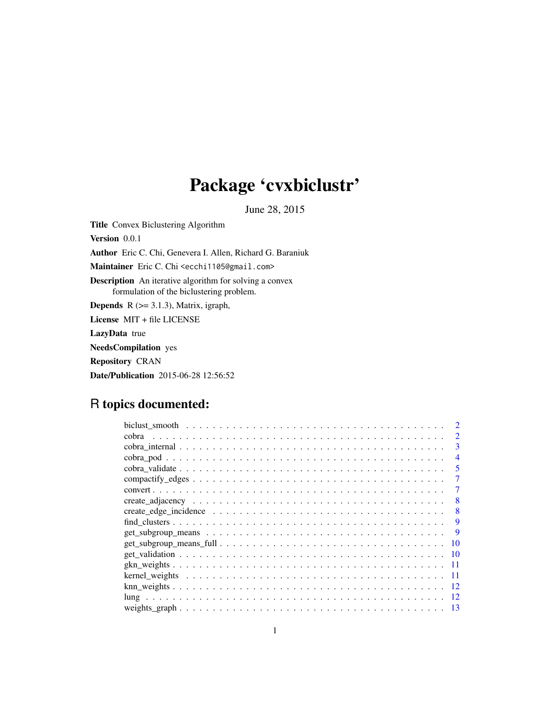# Package 'cvxbiclustr'

June 28, 2015

Title Convex Biclustering Algorithm Version 0.0.1 Author Eric C. Chi, Genevera I. Allen, Richard G. Baraniuk Maintainer Eric C. Chi <ecchi1105@gmail.com> Description An iterative algorithm for solving a convex formulation of the biclustering problem. **Depends** R  $(>= 3.1.3)$ , Matrix, igraph, License MIT + file LICENSE LazyData true NeedsCompilation yes Repository CRAN Date/Publication 2015-06-28 12:56:52

# R topics documented:

|                                                                                                            | $\mathcal{D}_{\mathcal{L}}$ |
|------------------------------------------------------------------------------------------------------------|-----------------------------|
|                                                                                                            | 3                           |
|                                                                                                            | 4                           |
|                                                                                                            | 5                           |
|                                                                                                            |                             |
|                                                                                                            |                             |
|                                                                                                            | 8                           |
|                                                                                                            | 8                           |
|                                                                                                            | 9                           |
| $get\_subgroup\_means \ldots \ldots \ldots \ldots \ldots \ldots \ldots \ldots \ldots \ldots \ldots \ldots$ | 9                           |
|                                                                                                            | 10                          |
|                                                                                                            | 10                          |
| -11                                                                                                        |                             |
| -11                                                                                                        |                             |
| -12                                                                                                        |                             |
|                                                                                                            |                             |
| 13                                                                                                         |                             |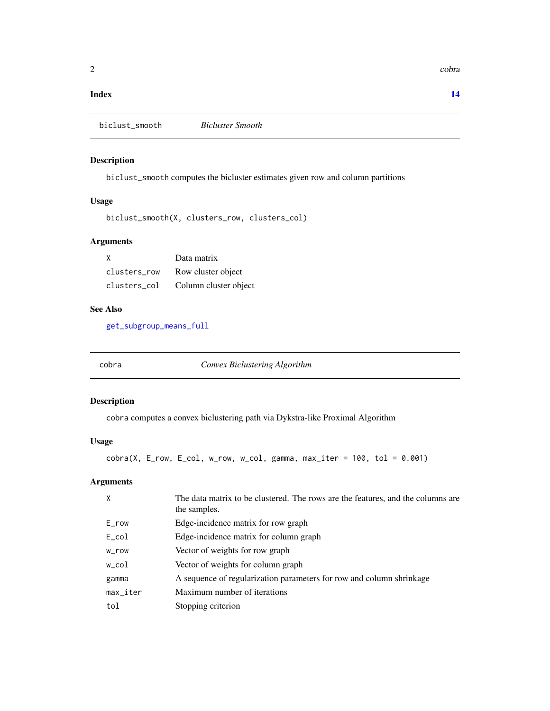# <span id="page-1-0"></span>**Index** 2008 **[14](#page-13-0)**

biclust\_smooth *Bicluster Smooth*

# Description

biclust\_smooth computes the bicluster estimates given row and column partitions

# Usage

```
biclust_smooth(X, clusters_row, clusters_col)
```
# Arguments

| X            | Data matrix           |
|--------------|-----------------------|
| clusters row | Row cluster object    |
| clusters col | Column cluster object |

# See Also

[get\\_subgroup\\_means\\_full](#page-9-1)

cobra *Convex Biclustering Algorithm*

# Description

cobra computes a convex biclustering path via Dykstra-like Proximal Algorithm

# Usage

 $cobra(X, E_{row}, E_{col}, w_{row}, w_{col}, gamma, max_{iter} = 100, tol = 0.001)$ 

| X                      | The data matrix to be clustered. The rows are the features, and the columns are<br>the samples. |
|------------------------|-------------------------------------------------------------------------------------------------|
| E_row                  | Edge-incidence matrix for row graph                                                             |
| $E_{col}$              | Edge-incidence matrix for column graph                                                          |
| w_row                  | Vector of weights for row graph                                                                 |
| w_col                  | Vector of weights for column graph                                                              |
| gamma                  | A sequence of regularization parameters for row and column shrinkage                            |
| $max$ <sub>-iter</sub> | Maximum number of iterations                                                                    |
| tol                    | Stopping criterion                                                                              |
|                        |                                                                                                 |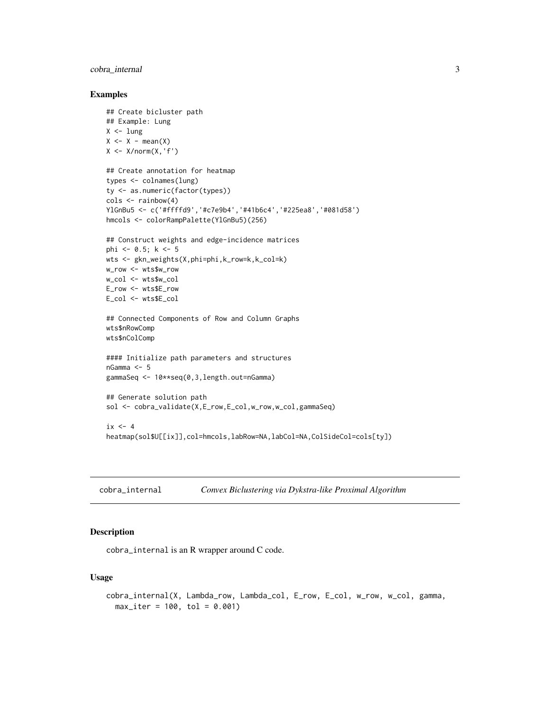# <span id="page-2-0"></span>cobra\_internal 3

# Examples

```
## Create bicluster path
## Example: Lung
X < -lung
X \leftarrow X - mean(X)X \leftarrow X/norm(X, 'f')## Create annotation for heatmap
types <- colnames(lung)
ty <- as.numeric(factor(types))
cols <- rainbow(4)
YlGnBu5 <- c('#ffffd9','#c7e9b4','#41b6c4','#225ea8','#081d58')
hmcols <- colorRampPalette(YlGnBu5)(256)
## Construct weights and edge-incidence matrices
phi <- 0.5; k <- 5
wts <- gkn_weights(X,phi=phi,k_row=k,k_col=k)
w_row <- wts$w_row
w_col <- wts$w_col
E_row <- wts$E_row
E_col <- wts$E_col
## Connected Components of Row and Column Graphs
wts$nRowComp
wts$nColComp
#### Initialize path parameters and structures
nGamma <- 5
gammaSeq <- 10**seq(0,3,length.out=nGamma)
## Generate solution path
sol <- cobra_validate(X,E_row,E_col,w_row,w_col,gammaSeq)
ix \leq -4heatmap(sol$U[[ix]],col=hmcols,labRow=NA,labCol=NA,ColSideCol=cols[ty])
```

```
cobra_internal Convex Biclustering via Dykstra-like Proximal Algorithm
```
# Description

cobra\_internal is an R wrapper around C code.

# Usage

```
cobra_internal(X, Lambda_row, Lambda_col, E_row, E_col, w_row, w_col, gamma,
 max\_iter = 100, tol = 0.001
```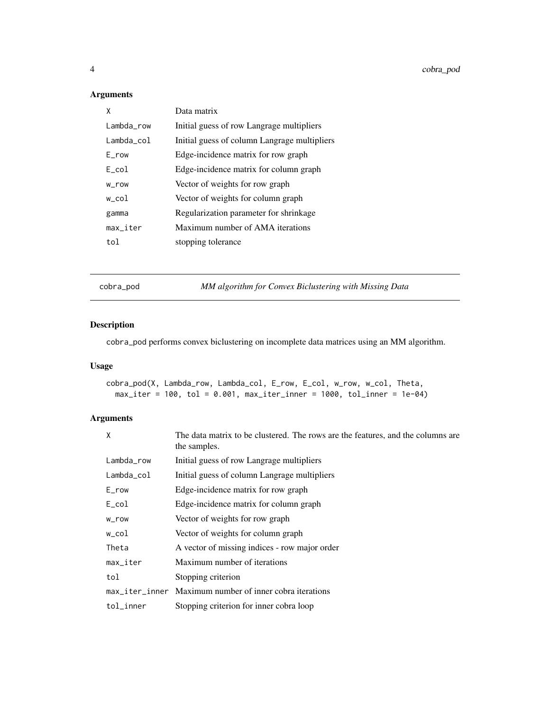# <span id="page-3-0"></span>Arguments

| χ          | Data matrix                                  |
|------------|----------------------------------------------|
| Lambda row | Initial guess of row Langrage multipliers    |
| Lambda_col | Initial guess of column Langrage multipliers |
| E row      | Edge-incidence matrix for row graph          |
| E col      | Edge-incidence matrix for column graph       |
| w_row      | Vector of weights for row graph              |
| w col      | Vector of weights for column graph           |
| gamma      | Regularization parameter for shrinkage       |
| max_iter   | Maximum number of AMA iterations             |
| tol        | stopping tolerance                           |

cobra\_pod *MM algorithm for Convex Biclustering with Missing Data*

# Description

cobra\_pod performs convex biclustering on incomplete data matrices using an MM algorithm.

# Usage

cobra\_pod(X, Lambda\_row, Lambda\_col, E\_row, E\_col, w\_row, w\_col, Theta,  $max\_iter = 100$ , tol = 0.001,  $max\_iter\_inner = 1000$ , tol\_inner = 1e-04)

| X                      | The data matrix to be clustered. The rows are the features, and the columns are<br>the samples. |
|------------------------|-------------------------------------------------------------------------------------------------|
| Lambda_row             | Initial guess of row Langrage multipliers                                                       |
| Lambda_col             | Initial guess of column Langrage multipliers                                                    |
| $E_{r}$ ow             | Edge-incidence matrix for row graph                                                             |
| $E_{col}$              | Edge-incidence matrix for column graph                                                          |
| w_row                  | Vector of weights for row graph                                                                 |
| w_col                  | Vector of weights for column graph                                                              |
| Theta                  | A vector of missing indices - row major order                                                   |
| $max$ <sub>Liter</sub> | Maximum number of iterations                                                                    |
| tol                    | Stopping criterion                                                                              |
|                        | max iter inner Maximum number of inner cobra iterations                                         |
| tol_inner              | Stopping criterion for inner cobra loop                                                         |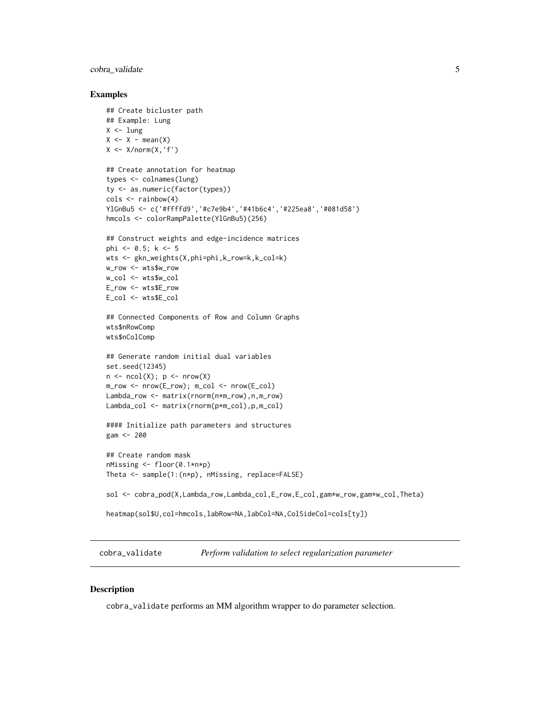# <span id="page-4-0"></span>cobra\_validate 5

# Examples

```
## Create bicluster path
## Example: Lung
X < -lung
X \leftarrow X - mean(X)X \le -X/norm(X, 'f')## Create annotation for heatmap
types <- colnames(lung)
ty <- as.numeric(factor(types))
cols <- rainbow(4)
YlGnBu5 <- c('#ffffd9','#c7e9b4','#41b6c4','#225ea8','#081d58')
hmcols <- colorRampPalette(YlGnBu5)(256)
## Construct weights and edge-incidence matrices
phi <- 0.5; k <- 5
wts <- gkn_weights(X,phi=phi,k_row=k,k_col=k)
w_row <- wts$w_row
w_col <- wts$w_col
E_row <- wts$E_row
E_col <- wts$E_col
## Connected Components of Row and Column Graphs
wts$nRowComp
wts$nColComp
## Generate random initial dual variables
set.seed(12345)
n \leq -ncol(X); p \leq -nrow(X)m_row <- nrow(E_row); m_col <- nrow(E_col)
Lambda_row <- matrix(rnorm(n*m_row),n,m_row)
Lambda_col <- matrix(rnorm(p*m_col),p,m_col)
#### Initialize path parameters and structures
gam <- 200
## Create random mask
nMissing <- floor(0.1*n*p)
Theta <- sample(1:(n*p), nMissing, replace=FALSE)
sol <- cobra_pod(X,Lambda_row,Lambda_col,E_row,E_col,gam*w_row,gam*w_col,Theta)
heatmap(sol$U,col=hmcols,labRow=NA,labCol=NA,ColSideCol=cols[ty])
```
cobra\_validate *Perform validation to select regularization parameter*

#### Description

cobra\_validate performs an MM algorithm wrapper to do parameter selection.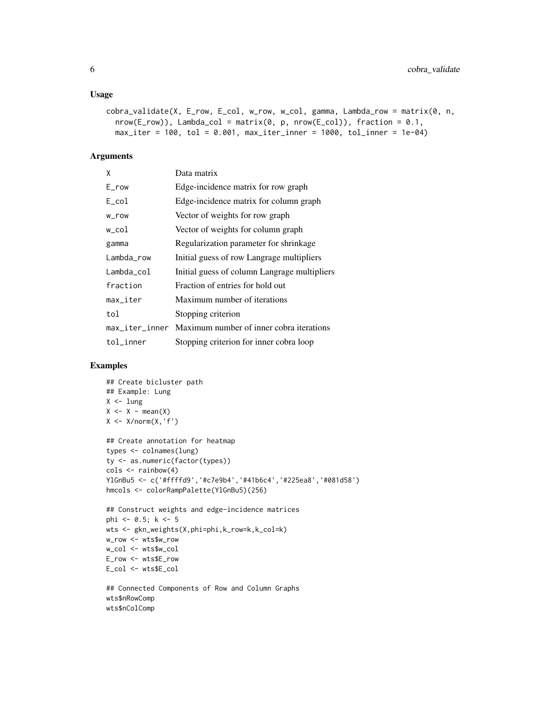# Usage

```
cobra_validate(X, E_row, E_col, w_row, w_col, gamma, Lambda_row = matrix(0, n,
  nrow(E_{row}), Lambda_col = matrix(0, p, nrow(E_col)), fraction = 0.1,
  max\_iter = 100, tol = 0.001, max\_iter\_inner = 1000, tol_inner = 1e-04)
```
# Arguments

| X              | Data matrix                                  |
|----------------|----------------------------------------------|
| $E_{row}$      | Edge-incidence matrix for row graph          |
| E col          | Edge-incidence matrix for column graph       |
| w_row          | Vector of weights for row graph              |
| w_col          | Vector of weights for column graph           |
| gamma          | Regularization parameter for shrinkage       |
| Lambda_row     | Initial guess of row Langrage multipliers    |
| Lambda_col     | Initial guess of column Langrage multipliers |
| fraction       | Fraction of entries for hold out             |
| max_iter       | Maximum number of iterations                 |
| tol            | Stopping criterion                           |
| max_iter_inner | Maximum number of inner cobra iterations     |
| tol_inner      | Stopping criterion for inner cobra loop      |

# Examples

wts\$nColComp

```
## Create bicluster path
## Example: Lung
X < -lung
X \leftarrow X - \text{mean}(X)X \le -X/norm(X, 'f')## Create annotation for heatmap
types <- colnames(lung)
ty <- as.numeric(factor(types))
\text{cols} \leq \text{rainbow}(4)YlGnBu5 <- c('#ffffd9','#c7e9b4','#41b6c4','#225ea8','#081d58')
hmcols <- colorRampPalette(YlGnBu5)(256)
## Construct weights and edge-incidence matrices
phi <- 0.5; k <- 5
wts <- gkn_weights(X,phi=phi,k_row=k,k_col=k)
w_row <- wts$w_row
w_col <- wts$w_col
E_row <- wts$E_row
E_col <- wts$E_col
## Connected Components of Row and Column Graphs
wts$nRowComp
```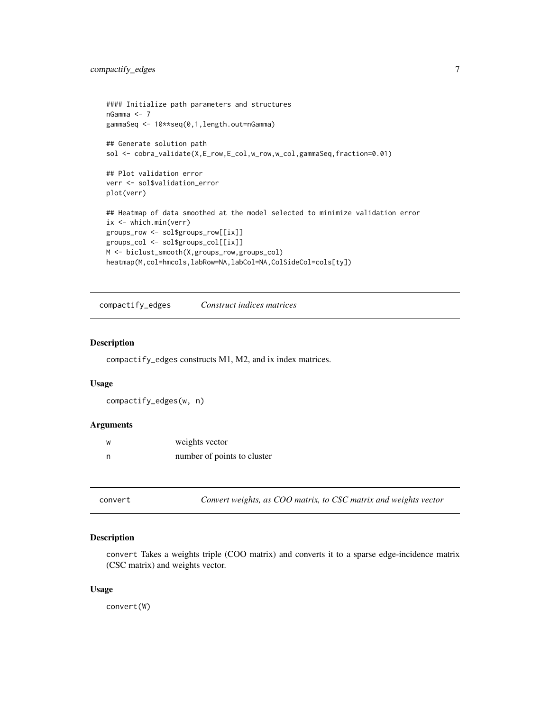```
#### Initialize path parameters and structures
nGamma <- 7
gammaSeq <- 10**seq(0,1,length.out=nGamma)
## Generate solution path
sol <- cobra_validate(X,E_row,E_col,w_row,w_col,gammaSeq,fraction=0.01)
## Plot validation error
verr <- sol$validation_error
plot(verr)
## Heatmap of data smoothed at the model selected to minimize validation error
ix <- which.min(verr)
groups_row <- sol$groups_row[[ix]]
groups_col <- sol$groups_col[[ix]]
M <- biclust_smooth(X,groups_row,groups_col)
heatmap(M,col=hmcols,labRow=NA,labCol=NA,ColSideCol=cols[ty])
```
compactify\_edges *Construct indices matrices*

# Description

compactify\_edges constructs M1, M2, and ix index matrices.

#### Usage

```
compactify_edges(w, n)
```
# Arguments

| W   | weights vector              |
|-----|-----------------------------|
| - n | number of points to cluster |

convert *Convert weights, as COO matrix, to CSC matrix and weights vector*

# Description

convert Takes a weights triple (COO matrix) and converts it to a sparse edge-incidence matrix (CSC matrix) and weights vector.

### Usage

convert(W)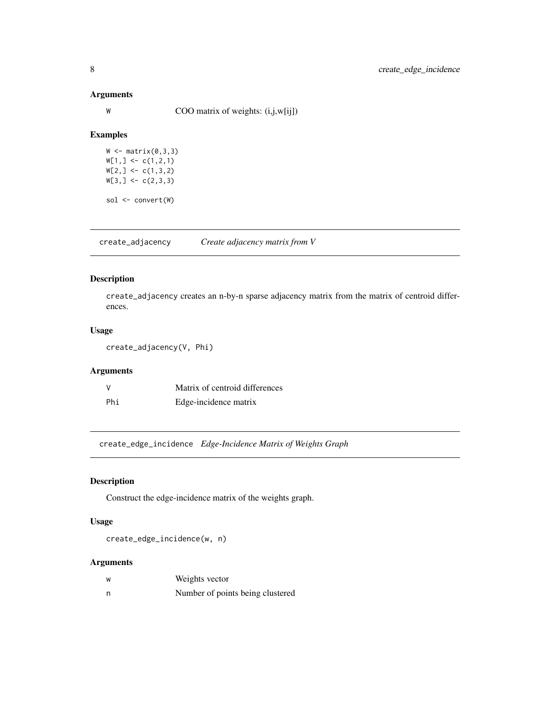# Arguments

W COO matrix of weights:  $(i,j,w[i])$ 

# Examples

 $W \leftarrow matrix(0,3,3)$  $W[1,] \leftarrow c(1,2,1)$  $W[2, ] \leftarrow c(1,3,2)$  $W[3, ] \leftarrow c(2,3,3)$ sol <- convert(W)

create\_adjacency *Create adjacency matrix from V*

# Description

create\_adjacency creates an n-by-n sparse adjacency matrix from the matrix of centroid differences.

# Usage

```
create_adjacency(V, Phi)
```
# Arguments

| <sup>V</sup> | Matrix of centroid differences |
|--------------|--------------------------------|
| Phi          | Edge-incidence matrix          |

create\_edge\_incidence *Edge-Incidence Matrix of Weights Graph*

# Description

Construct the edge-incidence matrix of the weights graph.

# Usage

create\_edge\_incidence(w, n)

| ้พ | Weights vector                   |
|----|----------------------------------|
| n  | Number of points being clustered |

<span id="page-7-0"></span>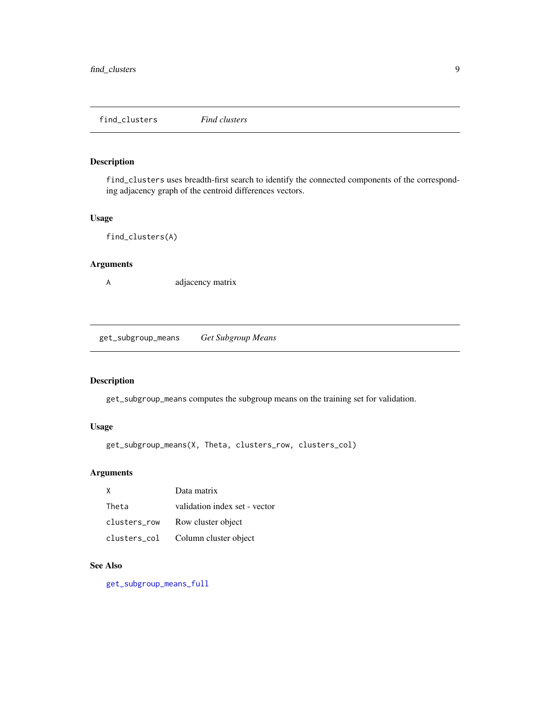<span id="page-8-0"></span>find\_clusters *Find clusters*

# Description

find\_clusters uses breadth-first search to identify the connected components of the corresponding adjacency graph of the centroid differences vectors.

# Usage

```
find_clusters(A)
```
# Arguments

A adjacency matrix

<span id="page-8-1"></span>get\_subgroup\_means *Get Subgroup Means*

# Description

get\_subgroup\_means computes the subgroup means on the training set for validation.

# Usage

get\_subgroup\_means(X, Theta, clusters\_row, clusters\_col)

# Arguments

| X            | Data matrix                   |
|--------------|-------------------------------|
| Theta        | validation index set - vector |
| clusters row | Row cluster object            |
| clusters_col | Column cluster object         |

# See Also

[get\\_subgroup\\_means\\_full](#page-9-1)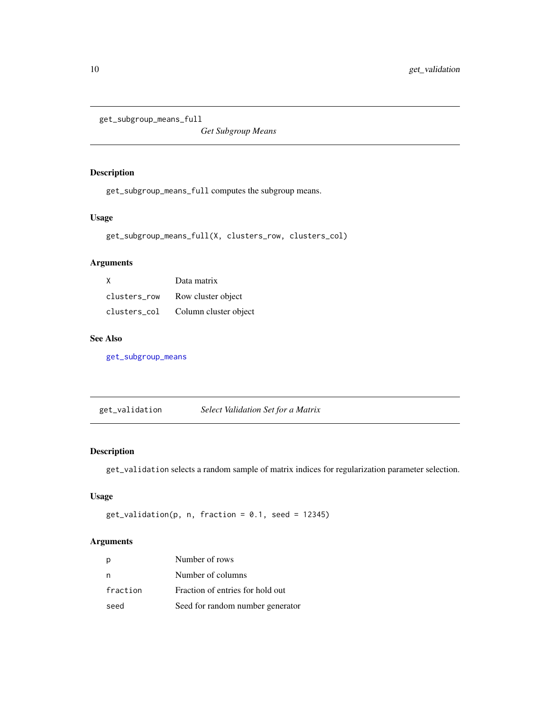```
get_subgroup_means_full
```
*Get Subgroup Means*

# Description

get\_subgroup\_means\_full computes the subgroup means.

# Usage

get\_subgroup\_means\_full(X, clusters\_row, clusters\_col)

# Arguments

| X            | Data matrix           |
|--------------|-----------------------|
| clusters row | Row cluster object    |
| clusters col | Column cluster object |

# See Also

[get\\_subgroup\\_means](#page-8-1)

get\_validation *Select Validation Set for a Matrix*

# Description

get\_validation selects a random sample of matrix indices for regularization parameter selection.

# Usage

```
get\_validation(p, n, fraction = 0.1, seed = 12345)
```

|          | Number of rows                   |
|----------|----------------------------------|
| n        | Number of columns                |
| fraction | Fraction of entries for hold out |
| seed     | Seed for random number generator |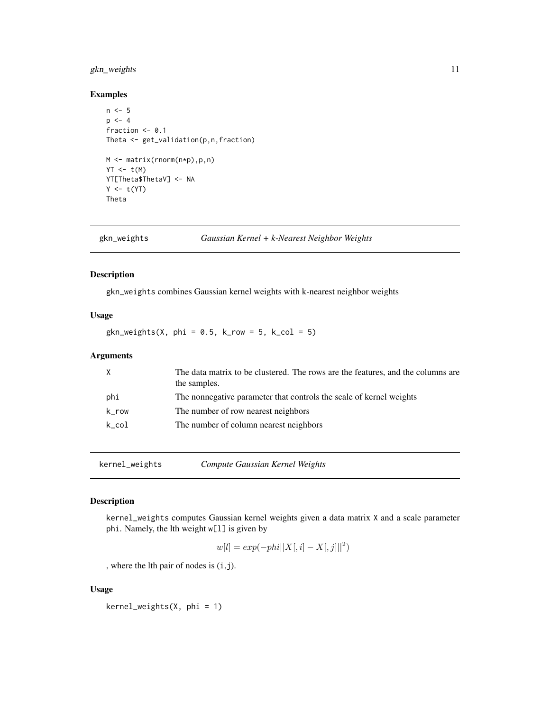# <span id="page-10-0"></span>gkn\_weights 11

# Examples

```
n < -5p \le -4fraction <- 0.1
Theta <- get_validation(p,n,fraction)
M <- matrix(rnorm(n*p),p,n)
YT < t(M)YT[Theta$ThetaV] <- NA
Y \leftarrow t(YT)Theta
```
gkn\_weights *Gaussian Kernel + k-Nearest Neighbor Weights*

# Description

gkn\_weights combines Gaussian kernel weights with k-nearest neighbor weights

# Usage

 $gkn\_weights(X, phi = 0.5, k_{row} = 5, k_{col} = 5)$ 

# Arguments

| X     | The data matrix to be clustered. The rows are the features, and the columns are<br>the samples. |
|-------|-------------------------------------------------------------------------------------------------|
| phi   | The nonnegative parameter that controls the scale of kernel weights                             |
| k_row | The number of row nearest neighbors                                                             |
| k col | The number of column nearest neighbors                                                          |

kernel\_weights *Compute Gaussian Kernel Weights*

# Description

kernel\_weights computes Gaussian kernel weights given a data matrix X and a scale parameter phi. Namely, the lth weight w[l] is given by

$$
w[l] = exp(-phi||X[, i] - X[, j||[2)
$$

, where the lth pair of nodes is (i,j).

#### Usage

kernel\_weights(X, phi = 1)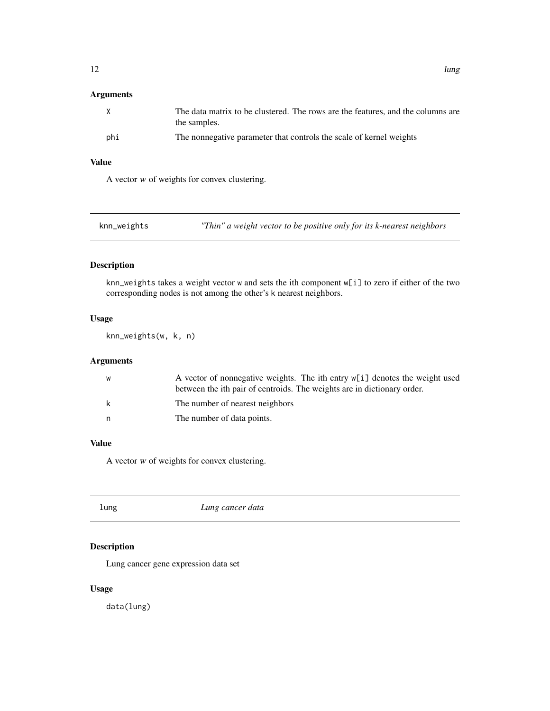# <span id="page-11-0"></span>Arguments

| X   | The data matrix to be clustered. The rows are the features, and the columns are<br>the samples. |
|-----|-------------------------------------------------------------------------------------------------|
| phi | The nonnegative parameter that controls the scale of kernel weights                             |

# Value

A vector w of weights for convex clustering.

| knn_weights | "Thin" a weight vector to be positive only for its $k$ -nearest neighbors |
|-------------|---------------------------------------------------------------------------|
|-------------|---------------------------------------------------------------------------|

# Description

knn\_weights takes a weight vector w and sets the ith component w[i] to zero if either of the two corresponding nodes is not among the other's k nearest neighbors.

# Usage

knn\_weights(w, k, n)

# Arguments

| W  | A vector of nonnegative weights. The ith entry $w[i]$ denotes the weight used<br>between the ith pair of centroids. The weights are in dictionary order. |
|----|----------------------------------------------------------------------------------------------------------------------------------------------------------|
| k  | The number of nearest neighbors                                                                                                                          |
| n. | The number of data points.                                                                                                                               |

# Value

A vector w of weights for convex clustering.

| lung | Lung cancer data |  |
|------|------------------|--|
|------|------------------|--|

# Description

Lung cancer gene expression data set

# Usage

data(lung)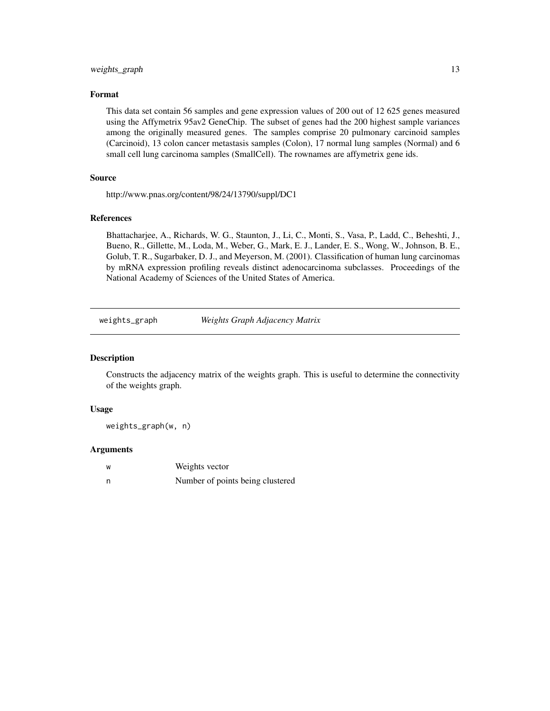# <span id="page-12-0"></span>weights\_graph 13

# Format

This data set contain 56 samples and gene expression values of 200 out of 12 625 genes measured using the Affymetrix 95av2 GeneChip. The subset of genes had the 200 highest sample variances among the originally measured genes. The samples comprise 20 pulmonary carcinoid samples (Carcinoid), 13 colon cancer metastasis samples (Colon), 17 normal lung samples (Normal) and 6 small cell lung carcinoma samples (SmallCell). The rownames are affymetrix gene ids.

# Source

http://www.pnas.org/content/98/24/13790/suppl/DC1

# References

Bhattacharjee, A., Richards, W. G., Staunton, J., Li, C., Monti, S., Vasa, P., Ladd, C., Beheshti, J., Bueno, R., Gillette, M., Loda, M., Weber, G., Mark, E. J., Lander, E. S., Wong, W., Johnson, B. E., Golub, T. R., Sugarbaker, D. J., and Meyerson, M. (2001). Classification of human lung carcinomas by mRNA expression profiling reveals distinct adenocarcinoma subclasses. Proceedings of the National Academy of Sciences of the United States of America.

weights\_graph *Weights Graph Adjacency Matrix*

#### **Description**

Constructs the adjacency matrix of the weights graph. This is useful to determine the connectivity of the weights graph.

#### Usage

weights\_graph(w, n)

| W | Weights vector                   |
|---|----------------------------------|
|   | Number of points being clustered |